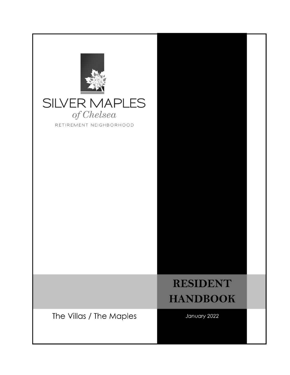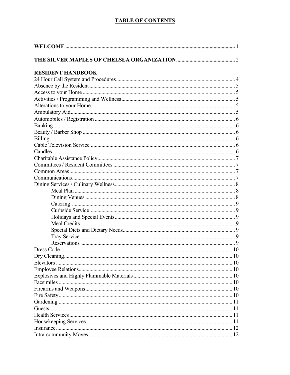#### **TABLE OF CONTENTS**

| <b>RESIDENT HANDBOOK</b> |
|--------------------------|
|                          |
|                          |
|                          |
|                          |
|                          |
|                          |
|                          |
|                          |
|                          |
|                          |
|                          |
|                          |
|                          |
|                          |
|                          |
|                          |
|                          |
|                          |
|                          |
|                          |
|                          |
|                          |
|                          |
|                          |
|                          |
|                          |
|                          |
|                          |
|                          |
|                          |
|                          |
|                          |
|                          |
|                          |
|                          |
|                          |
|                          |
|                          |
|                          |
|                          |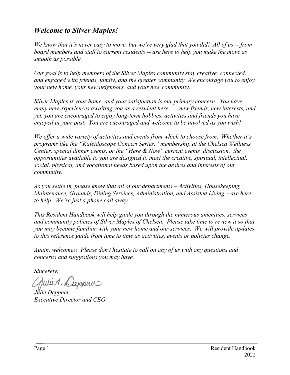### *Welcome to Silver Maples!*

*We know that it's never easy to move, but we're very glad that you did! All of us -- from board members and staff to current residents -- are here to help you make the move as smooth as possible.*

*Our goal is to help members of the Silver Maples community stay creative, connected, and engaged with friends, family, and the greater community. We encourage you to enjoy your new home, your new neighbors, and your new community.*

*Silver Maples is your home, and your satisfaction is our primary concern. You have many new experiences awaiting you as a resident here . . . new friends, new interests, and yet, you are encouraged to enjoy long-term hobbies, activities and friends you have enjoyed in your past. You are encouraged and welcome to be involved as you wish!*

*We offer a wide variety of activities and events from which to choose from. Whether it's programs like the "Kaleidoscope Concert Series," membership at the Chelsea Wellness Center, special dinner events, or the "Here & Now" current events discussion, the opportunities available to you are designed to meet the creative, spiritual, intellectual, social, physical, and vocational needs based upon the desires and interests of our community.*

*As you settle in, please know that all of our departments – Activities, Housekeeping, Maintenance, Grounds, Dining Services, Administration, and Assisted Living – are here to help. We're just a phone call away.*

*This Resident Handbook will help guide you through the numerous amenities, services and community policies of Silver Maples of Chelsea. Please take time to review it so that you may become familiar with your new home and our services. We will provide updates to this reference guide from time to time as activities, events or policies change.* 

*Again, welcome!! Please don't hesitate to call on any of us with any questions and concerns and suggestions you may have.*

*Sincerely,*

Juli A. N

*Julie Deppner Executive Director and CEO*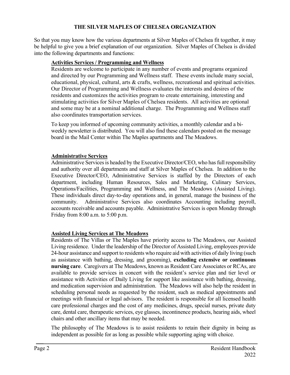#### **THE SILVER MAPLES OF CHELSEA ORGANIZATION**

So that you may know how the various departments at Silver Maples of Chelsea fit together, it may be helpful to give you a brief explanation of our organization. Silver Maples of Chelsea is divided into the following departments and functions:

#### **Activities Services / Programming and Wellness**

 Residents are welcome to participate in any number of events and programs organized and directed by our Programming and Wellness staff. These events include many social, educational, physical, cultural, arts & crafts, wellness, recreational and spiritual activities. Our Director of Programming and Wellness evaluates the interests and desires of the residents and customizes the activities program to create entertaining, interesting and stimulating activities for Silver Maples of Chelsea residents. All activities are optional and some may be at a nominal additional charge. The Programming and Wellness staff also coordinates transportation services.

To keep you informed of upcoming community activities, a monthly calendar and a biweekly newsletter is distributed. You will also find these calendars posted on the message board in the Mail Center within The Maples apartments and The Meadows.

#### **Administrative Services**

Administrative Services is headed by the Executive Director/CEO, who has full responsibility and authority over all departments and staff at Silver Maples of Chelsea. In addition to the Executive Director/CEO, Administrative Services is staffed by the Directors of each department, including Human Resources, Sales and Marketing, Culinary Services, Operations/Facilities, Programming and Wellness, and The Meadows (Assisted Living). These individuals direct day-to-day operations and, in general, manage the business of the community. Administrative Services also coordinates Accounting including payroll, accounts receivable and accounts payable. Administrative Services is open Monday through Friday from 8:00 a.m. to 5:00 p.m.

#### **Assisted Living Services at The Meadows**

Residents of The Villas or The Maples have priority access to The Meadows, our Assisted Living residence. Under the leadership of the Director of Assisted Living, employees provide 24-hour assistance and support to residents who require aid with activities of daily living (such as assistance with bathing, dressing, and grooming), **excluding extensive or continuous nursing care**. Caregivers at The Meadows, known as Resident Care Associates or RCAs, are available to provide services in concert with the resident's service plan and tier level or assistance with Activities of Daily Living for support like assistance with bathing, dressing, and medication supervision and administration. The Meadows will also help the resident in scheduling personal needs as requested by the resident, such as medical appointments and meetings with financial or legal advisors. The resident is responsible for all licensed health care professional charges and the cost of any medicines, drugs, special nurses, private duty care, dental care, therapeutic services, eye glasses, incontinence products, hearing aids, wheel chairs and other ancillary items that may be needed.

The philosophy of The Meadows is to assist residents to retain their dignity in being as independent as possible for as long as possible while supporting aging with choice.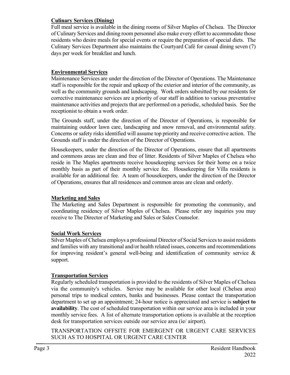#### **Culinary Services (Dining)**

Full meal service is available in the dining rooms of Silver Maples of Chelsea. The Director of Culinary Services and dining room personnel also make every effort to accommodate those residents who desire meals for special events or require the preparation of special diets. The Culinary Services Department also maintains the Courtyard Café for casual dining seven (7) days per week for breakfast and lunch.

#### **Environmental Services**

Maintenance Services are under the direction of the Director of Operations. The Maintenance staff is responsible for the repair and upkeep of the exterior and interior of the community, as well as the community grounds and landscaping. Work orders submitted by our residents for corrective maintenance services are a priority of our staff in addition to various preventative maintenance activities and projects that are performed on a periodic, scheduled basis. See the receptionist to obtain a work order.

The Grounds staff, under the direction of the Director of Operations, is responsible for maintaining outdoor lawn care, landscaping and snow removal, and environmental safety. Concerns or safety risks identified will assume top priority and receive corrective action. The Grounds staff is under the direction of the Director of Operations.

Housekeepers, under the direction of the Director of Operations, ensure that all apartments and commons areas are clean and free of litter. Residents of Silver Maples of Chelsea who reside in The Maples apartments receive housekeeping services for their home on a twice monthly basis as part of their monthly service fee. Housekeeping for Villa residents is available for an additional fee. A team of housekeepers, under the direction of the Director of Operations, ensures that all residences and common areas are clean and orderly.

#### **Marketing and Sales**

The Marketing and Sales Department is responsible for promoting the community, and coordinating residency of Silver Maples of Chelsea. Please refer any inquiries you may receive to The Director of Marketing and Sales or Sales Counselor.

#### **Social Work Services**

Silver Maples of Chelsea employs a professional Director of Social Services to assist residents and families with any transitional and/or health related issues, concerns and recommendations for improving resident's general well-being and identification of community service  $\&$ support.

#### **Transportation Services**

Regularly scheduled transportation is provided to the residents of Silver Maples of Chelsea via the community's vehicles. Service may be available for other local (Chelsea area) personal trips to medical centers, banks and businesses. Please contact the transportation department to set up an appointment; 24-hour notice is appreciated and service is **subject to availability**. The cost of scheduled transportation within our service area is included in your monthly service fees. A list of alternate transportation options is available at the reception desk for transportation services outside our service area (ie/ airport).

TRANSPORTATION OFFSITE FOR EMERGENT OR URGENT CARE SERVICES SUCH AS TO HOSPITAL OR URGENT CARE CENTER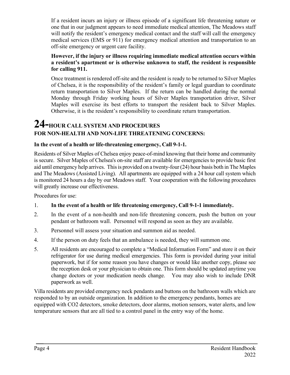If a resident incurs an injury or illness episode of a significant life threatening nature or one that in our judgment appears to need immediate medical attention, The Meadows staff will notify the resident's emergency medical contact and the staff will call the emergency medical services (EMS or 911) for emergency medical attention and transportation to an off-site emergency or urgent care facility.

#### **However, if the injury or illness requiring immediate medical attention occurs within a resident's apartment or is otherwise unknown to staff, the resident is responsible for calling 911.**

Once treatment is rendered off-site and the resident is ready to be returned to Silver Maples of Chelsea, it is the responsibility of the resident's family or legal guardian to coordinate return transportation to Silver Maples. If the return can be handled during the normal Monday through Friday working hours of Silver Maples transportation driver, Silver Maples will exercise its best efforts to transport the resident back to Silver Maples. Otherwise, it is the resident's responsibility to coordinate return transportation.

### **24-HOUR CALL SYSTEM AND PROCEDURES FOR NON-HEALTH AND NON-LIFE THREATENING CONCERNS:**

#### **In the event of a health or life-threatening emergency, Call 9-1-1.**

Residents of Silver Maples of Chelsea enjoy peace-of-mind knowing that their home and community is secure. Silver Maples of Chelsea's on-site staff are available for emergencies to provide basic first aid until emergency help arrives. This is provided on a twenty-four (24) hour basis both in The Maples and The Meadows (Assisted Living). All apartments are equipped with a 24 hour call system which is monitored 24 hours a day by our Meadows staff. Your cooperation with the following procedures will greatly increase our effectiveness.

Procedures for use:

#### 1. **In the event of a health or life threatening emergency, Call 9-1-1 immediately.**

- 2. In the event of a non-health and non-life threatening concern, push the button on your pendant or bathroom wall. Personnel will respond as soon as they are available.
- 3. Personnel will assess your situation and summon aid as needed.
- 4. If the person on duty feels that an ambulance is needed, they will summon one.
- 5. All residents are encouraged to complete a "Medical Information Form" and store it on their refrigerator for use during medical emergencies. This form is provided during your initial paperwork, but if for some reason you have changes or would like another copy, please see the reception desk or your physician to obtain one. This form should be updated anytime you change doctors or your medication needs change. You may also wish to include DNR paperwork as well.

Villa residents are provided emergency neck pendants and buttons on the bathroom walls which are responded to by an outside organization. In addition to the emergency pendants, homes are equipped with CO2 detectors, smoke detectors, door alarms, motion sensors, water alerts, and low temperature sensors that are all tied to a control panel in the entry way of the home.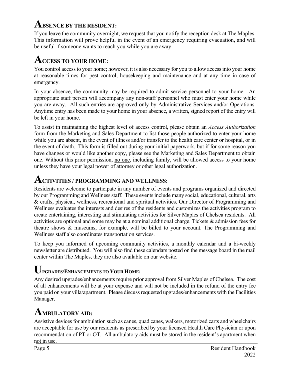### **ABSENCE BY THE RESIDENT:**

If you leave the community overnight, we request that you notify the reception desk at The Maples. This information will prove helpful in the event of an emergency requiring evacuation, and will be useful if someone wants to reach you while you are away.

### **ACCESS TO YOUR HOME:**

You control access to your home; however, it is also necessary for you to allow access into your home at reasonable times for pest control, housekeeping and maintenance and at any time in case of emergency.

In your absence, the community may be required to admit service personnel to your home. An appropriate staff person will accompany any non-staff personnel who must enter your home while you are away. All such entries are approved only by Administrative Services and/or Operations. Anytime entry has been made to your home in your absence, a written, signed report of the entry will be left in your home.

To assist in maintaining the highest level of access control, please obtain an *Access Authorization* form from the Marketing and Sales Department to list those people authorized to enter your home while you are absent, in the event of illness and/or transfer to the health care center or hospital, or in the event of death. This form is filled out during your initial paperwork, but if for some reason you have changes or would like another copy, please see the Marketing and Sales Department to obtain one. Without this prior permission, no one, including family, will be allowed access to your home unless they have your legal power of attorney or other legal authorization.

### **ACTIVITIES / PROGRAMMING AND WELLNESS:**

Residents are welcome to participate in any number of events and programs organized and directed by our Programming and Wellness staff. These events include many social, educational, cultural, arts & crafts, physical, wellness, recreational and spiritual activities. Our Director of Programming and Wellness evaluates the interests and desires of the residents and customizes the activities program to create entertaining, interesting and stimulating activities for Silver Maples of Chelsea residents. All activities are optional and some may be at a nominal additional charge. Tickets & admission fees for theatre shows & museums, for example, will be billed to your account. The Programming and Wellness staff also coordinates transportation services.

To keep you informed of upcoming community activities, a monthly calendar and a bi-weekly newsletter are distributed. You will also find these calendars posted on the message board in the mail center within The Maples, they are also available on our website.

### **UPGRADES/ENHANCEMENTS TO YOUR HOME:**

Any desired upgrades/enhancements require prior approval from Silver Maples of Chelsea. The cost of all enhancements will be at your expense and will not be included in the refund of the entry fee you paid on your villa/apartment. Please discuss requested upgrades/enhancements with the Facilities Manager.

## **AMBULATORY AID:**

Assistive devices for ambulation such as canes, quad canes, walkers, motorized carts and wheelchairs are acceptable for use by our residents as prescribed by your licensed Health Care Physician or upon recommendation of PT or OT. All ambulatory aids must be stored in the resident's apartment when not in use.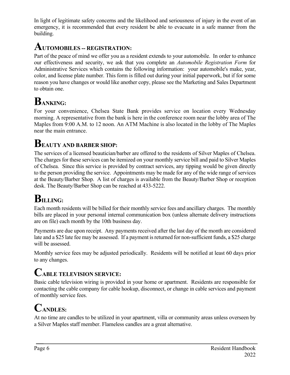In light of legitimate safety concerns and the likelihood and seriousness of injury in the event of an emergency, it is recommended that every resident be able to evacuate in a safe manner from the building.

### **AUTOMOBILES -- REGISTRATION:**

Part of the peace of mind we offer you as a resident extends to your automobile. In order to enhance our effectiveness and security, we ask that you complete an *Automobile Registration Form* for Administrative Services which contains the following information: your automobile's make, year, color, and license plate number. This form is filled out during your initial paperwork, but if for some reason you have changes or would like another copy, please see the Marketing and Sales Department to obtain one.

# **BANKING:**

For your convenience, Chelsea State Bank provides service on location every Wednesday morning. A representative from the bank is here in the conference room near the lobby area of The Maples from 9:00 A.M. to 12 noon. An ATM Machine is also located in the lobby of The Maples near the main entrance.

## **BEAUTY AND BARBER SHOP:**

The services of a licensed beautician/barber are offered to the residents of Silver Maples of Chelsea. The charges for these services can be itemized on your monthly service bill and paid to Silver Maples of Chelsea. Since this service is provided by contract services, any tipping would be given directly to the person providing the service. Appointments may be made for any of the wide range of services at the Beauty/Barber Shop. A list of charges is available from the Beauty/Barber Shop or reception desk. The Beauty/Barber Shop can be reached at 433-5222.

# **BILLING:**

Each month residents will be billed for their monthly service fees and ancillary charges. The monthly bills are placed in your personal internal communication box (unless alternate delivery instructions are on file) each month by the 10th business day.

Payments are due upon receipt. Any payments received after the last day of the month are considered late and a \$25 late fee may be assessed. If a payment is returned for non-sufficient funds, a \$25 charge will be assessed.

Monthly service fees may be adjusted periodically. Residents will be notified at least 60 days prior to any changes.

# **CABLE TELEVISION SERVICE:**

Basic cable television wiring is provided in your home or apartment. Residents are responsible for contacting the cable company for cable hookup, disconnect, or change in cable services and payment of monthly service fees.

# **CANDLES:**

At no time are candles to be utilized in your apartment, villa or community areas unless overseen by a Silver Maples staff member. Flameless candles are a great alternative.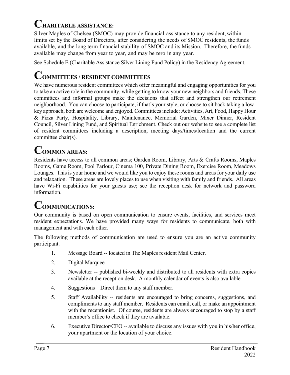## **CHARITABLE ASSISTANCE:**

Silver Maples of Chelsea (SMOC) may provide financial assistance to any resident, within limits set by the Board of Directors, after considering the needs of SMOC residents, the funds available, and the long term financial stability of SMOC and its Mission. Therefore, the funds available may change from year to year, and may be zero in any year.

See Schedule E (Charitable Assistance Silver Lining Fund Policy) in the Residency Agreement.

### **COMMITTEES / RESIDENT COMMITTEES**

We have numerous resident committees which offer meaningful and engaging opportunities for you to take an active role in the community, while getting to know your new neighbors and friends. These committees and informal groups make the decisions that affect and strengthen our retirement neighborhood. You can choose to participate, if that's your style, or choose to sit back taking a lowkey approach, both are welcome and enjoyed. Committees include: Activities, Art, Food, Happy Hour & Pizza Party, Hospitality, Library, Maintenance, Memorial Garden, Mixer Dinner, Resident Council, Silver Lining Fund, and Spiritual Enrichment. Check out our website to see a complete list of resident committees including a description, meeting days/times/location and the current committee chair(s).

## **COMMON AREAS:**

Residents have access to all common areas; Garden Room, Library, Arts & Crafts Rooms, Maples Rooms, Game Room, Pool Parlour, Cinema 100, Private Dining Room, Exercise Room, Meadows Lounges. This is your home and we would like you to enjoy these rooms and areas for your daily use and relaxation. These areas are lovely places to use when visiting with family and friends. All areas have Wi-Fi capabilities for your guests use; see the reception desk for network and password information.

## **COMMUNICATIONS:**

Our community is based on open communication to ensure events, facilities, and services meet resident expectations. We have provided many ways for residents to communicate, both with management and with each other.

The following methods of communication are used to ensure you are an active community participant.

- 1. Message Board -- located in The Maples resident Mail Center.
- 2. Digital Marquee
- 3. Newsletter -- published bi-weekly and distributed to all residents with extra copies available at the reception desk. A monthly calendar of events is also available.
- 4. Suggestions Direct them to any staff member.
- 5. Staff Availability -- residents are encouraged to bring concerns, suggestions, and compliments to any staff member. Residents can email, call, or make an appointment with the receptionist. Of course, residents are always encouraged to stop by a staff member's office to check if they are available.
- 6. Executive Director/CEO -- available to discuss any issues with you in his/her office, your apartment or the location of your choice.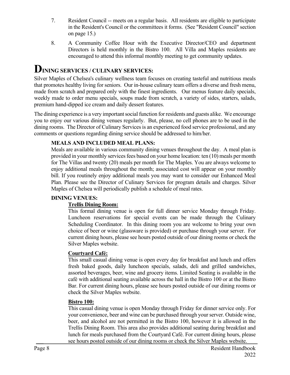- 7. Resident Council -- meets on a regular basis. All residents are eligible to participate in the Resident's Council or the committees it forms. (See "Resident Council" section on page 15.)
- 8. A Community Coffee Hour with the Executive Director/CEO and department Directors is held monthly in the Bistro 100. All Villa and Maples residents are encouraged to attend this informal monthly meeting to get community updates.

### **DINING SERVICES / CULINARY SERVICES:**

Silver Maples of Chelsea's culinary wellness team focuses on creating tasteful and nutritious meals that promotes healthy living for seniors. Our in-house culinary team offers a diverse and fresh menu, made from scratch and prepared only with the finest ingredients. Our menus feature daily specials, weekly made to order menu specials, soups made from scratch, a variety of sides, starters, salads, premium hand-dipped ice cream and daily dessert features.

The dining experience is a very important social function for residents and guests alike. We encourage you to enjoy our various dining venues regularly. But, please, no cell phones are to be used in the dining rooms. The Director of Culinary Services is an experienced food service professional, and any comments or questions regarding dining service should be addressed to him/her.

#### **MEALS AND INCLUDED MEAL PLANS:**

Meals are available in various community dining venues throughout the day. A meal plan is provided in your monthly services fees based on your home location: ten (10) meals per month for The Villas and twenty (20) meals per month for The Maples. You are always welcome to enjoy additional meals throughout the month; associated cost will appear on your monthly bill. If you routinely enjoy additional meals you may want to consider our Enhanced Meal Plan. Please see the Director of Culinary Services for program details and charges. Silver Maples of Chelsea will periodically publish a schedule of meal rates.

#### **DINING VENUES:**

#### **Trellis Dining Room:**

This formal dining venue is open for full dinner service Monday through Friday. Luncheon reservations for special events can be made through the Culinary Scheduling Coordinator. In this dining room you are welcome to bring your own choice of beer or wine (glassware is provided) or purchase through your server. For current dining hours, please see hours posted outside of our dining rooms or check the Silver Maples website.

#### **Courtyard Café:**

This small casual dining venue is open every day for breakfast and lunch and offers fresh baked goods, daily luncheon specials, salads, deli and grilled sandwiches, assorted beverages, beer, wine and grocery items. Limited Seating is available in the café with additional seating available across the hall in the Bistro 100 or at the Bistro Bar. For current dining hours, please see hours posted outside of our dining rooms or check the Silver Maples website.

#### **Bistro 100:**

This casual dining venue is open Monday through Friday for dinner service only. For your convenience, beer and wine can be purchased through your server. Outside wine, beer, and alcohol are not permitted in the Bistro 100, however it is allowed in the Trellis Dining Room. This area also provides additional seating during breakfast and lunch for meals purchased from the Courtyard Café. For current dining hours, please see hours posted outside of our dining rooms or check the Silver Maples website.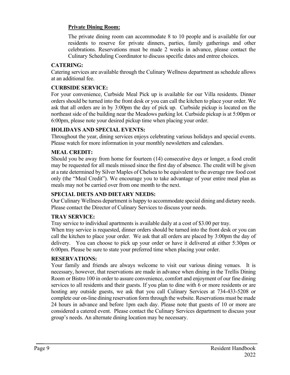#### **Private Dining Room:**

The private dining room can accommodate 8 to 10 people and is available for our residents to reserve for private dinners, parties, family gatherings and other celebrations. Reservations must be made 2 weeks in advance, please contact the Culinary Scheduling Coordinator to discuss specific dates and entree choices.

#### **CATERING:**

Catering services are available through the Culinary Wellness department as schedule allows at an additional fee.

#### **CURBSIDE SERVICE:**

For your convenience, Curbside Meal Pick up is available for our Villa residents. Dinner orders should be turned into the front desk or you can call the kitchen to place your order. We ask that all orders are in by 3:00pm the day of pick up. Curbside pickup is located on the northeast side of the building near the Meadows parking lot. Curbside pickup is at 5:00pm or 6:00pm, please note your desired pickup time when placing your order.

#### **HOLIDAYS AND SPECIAL EVENTS:**

Throughout the year, dining services enjoys celebrating various holidays and special events. Please watch for more information in your monthly newsletters and calendars.

#### **MEAL CREDIT:**

Should you be away from home for fourteen (14) consecutive days or longer, a food credit may be requested for all meals missed since the first day of absence. The credit will be given at a rate determined by Silver Maples of Chelsea to be equivalent to the average raw food cost only (the "Meal Credit"). We encourage you to take advantage of your entire meal plan as meals may not be carried over from one month to the next.

#### **SPECIAL DIETS AND DIETARY NEEDS:**

Our Culinary Wellness department is happy to accommodate special dining and dietary needs. Please contact the Director of Culinary Services to discuss your needs.

#### **TRAY SERVICE:**

Tray service to individual apartments is available daily at a cost of \$3.00 per tray.

When tray service is requested, dinner orders should be turned into the front desk or you can call the kitchen to place your order. We ask that all orders are placed by 3:00pm the day of delivery. You can choose to pick up your order or have it delivered at either 5:30pm or 6:00pm. Please be sure to state your preferred time when placing your order.

#### **RESERVATIONS:**

Your family and friends are always welcome to visit our various dining venues. It is necessary, however, that reservations are made in advance when dining in the Trellis Dining Room or Bistro 100 in order to assure convenience, comfort and enjoyment of our fine dining services to all residents and their guests. If you plan to dine with 6 or more residents or are hosting any outside guests, we ask that you call Culinary Services at 734-433-5208 or complete our on-line dining reservation form through the website. Reservations must be made 24 hours in advance and before 1pm each day. Please note that guests of 10 or more are considered a catered event. Please contact the Culinary Services department to discuss your group's needs. An alternate dining location may be necessary.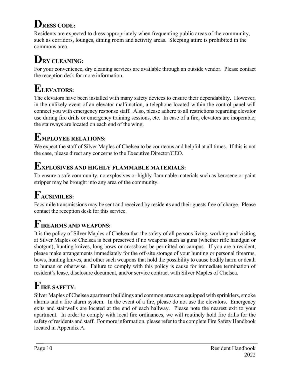# **DRESS CODE:**

Residents are expected to dress appropriately when frequenting public areas of the community, such as corridors, lounges, dining room and activity areas. Sleeping attire is prohibited in the commons area.

# **DRY CLEANING:**

For your convenience, dry cleaning services are available through an outside vendor. Please contact the reception desk for more information.

# **ELEVATORS:**

The elevators have been installed with many safety devices to ensure their dependability. However, in the unlikely event of an elevator malfunction, a telephone located within the control panel will connect you with emergency response staff. Also, please adhere to all restrictions regarding elevator use during fire drills or emergency training sessions, etc. In case of a fire, elevators are inoperable; the stairways are located on each end of the wing.

## **EMPLOYEE RELATIONS:**

We expect the staff of Silver Maples of Chelsea to be courteous and helpful at all times. If this is not the case, please direct any concerns to the Executive Director/CEO.

## **EXPLOSIVES AND HIGHLY FLAMMABLE MATERIALS:**

To ensure a safe community, no explosives or highly flammable materials such as kerosene or paint stripper may be brought into any area of the community.

# **FACSIMILES:**

Facsimile transmissions may be sent and received by residents and their guests free of charge. Please contact the reception desk for this service.

## **FIREARMS AND WEAPONS:**

It is the policy of Silver Maples of Chelsea that the safety of all persons living, working and visiting at Silver Maples of Chelsea is best preserved if no weapons such as guns (whether rifle handgun or shotgun), hunting knives, long bows or crossbows be permitted on campus. If you are a resident, please make arrangements immediately for the off-site storage of your hunting or personal firearms, bows, hunting knives, and other such weapons that hold the possibility to cause bodily harm or death to human or otherwise. Failure to comply with this policy is cause for immediate termination of resident's lease, disclosure document, and/or service contract with Silver Maples of Chelsea.

# **FIRE SAFETY:**

Silver Maples of Chelsea apartment buildings and common areas are equipped with sprinklers, smoke alarms and a fire alarm system. In the event of a fire, please do not use the elevators. Emergency exits and stairwells are located at the end of each hallway. Please note the nearest exit to your apartment. In order to comply with local fire ordinances, we will routinely hold fire drills for the safety of residents and staff. For more information, please refer to the complete Fire Safety Handbook located in Appendix A.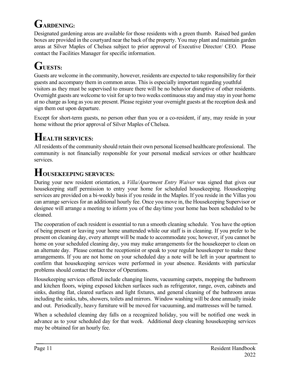# **GARDENING:**

Designated gardening areas are available for those residents with a green thumb. Raised bed garden boxes are provided in the courtyard near the back of the property. You may plant and maintain garden areas at Silver Maples of Chelsea subject to prior approval of Executive Director/ CEO. Please contact the Facilities Manager for specific information.

# **GUESTS:**

Guests are welcome in the community, however, residents are expected to take responsibility for their guests and accompany them in common areas. This is especially important regarding youthful visitors as they must be supervised to ensure there will be no behavior disruptive of other residents. Overnight guests are welcome to visit for up to two weeks continuous stay and may stay in your home at no charge as long as you are present. Please register your overnight guests at the reception desk and sign them out upon departure.

Except for short-term guests, no person other than you or a co-resident, if any, may reside in your home without the prior approval of Silver Maples of Chelsea.

## **HEALTH SERVICES:**

All residents of the community should retain their own personal licensed healthcare professional. The community is not financially responsible for your personal medical services or other healthcare services.

## **HOUSEKEEPING SERVICES:**

During your new resident orientation, a *Villa/Apartment Entry Waiver* was signed that gives our housekeeping staff permission to entry your home for scheduled housekeeping. Housekeeping services are provided on a bi-weekly basis if you reside in the Maples. If you reside in the Villas you can arrange services for an additional hourly fee. Once you move in, the Housekeeping Supervisor or designee will arrange a meeting to inform you of the day/time your home has been scheduled to be cleaned.

The cooperation of each resident is essential to run a smooth cleaning schedule. You have the option of being present or leaving your home unattended while our staff is in cleaning. If you prefer to be present on cleaning day, every attempt will be made to accommodate you; however, if you cannot be home on your scheduled cleaning day, you may make arrangements for the housekeeper to clean on an alternate day. Please contact the receptionist or speak to your regular housekeeper to make these arrangements. If you are not home on your scheduled day a note will be left in your apartment to confirm that housekeeping services were performed in your absence. Residents with particular problems should contact the Director of Operations.

Housekeeping services offered include changing linens, vacuuming carpets, mopping the bathroom and kitchen floors, wiping exposed kitchen surfaces such as refrigerator, range, oven, cabinets and sinks, dusting flat, cleared surfaces and light fixtures, and general cleaning of the bathroom areas including the sinks, tubs, showers, toilets and mirrors. Window washing will be done annually inside and out. Periodically, heavy furniture will be moved for vacuuming, and mattresses will be turned.

When a scheduled cleaning day falls on a recognized holiday, you will be notified one week in advance as to your scheduled day for that week. Additional deep cleaning housekeeping services may be obtained for an hourly fee.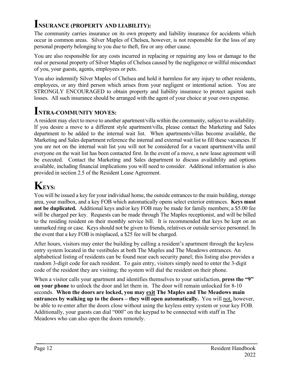### **INSURANCE (PROPERTY AND LIABILITY):**

The community carries insurance on its own property and liability insurance for accidents which occur in common areas. Silver Maples of Chelsea, however, is not responsible for the loss of any personal property belonging to you due to theft, fire or any other cause.

You are also responsible for any costs incurred in replacing or repairing any loss or damage to the real or personal property of Silver Maples of Chelsea caused by the negligence or willful misconduct of you, your guests, agents, employees or pets.

You also indemnify Silver Maples of Chelsea and hold it harmless for any injury to other residents, employees, or any third person which arises from your negligent or intentional action. You are STRONGLY ENCOURAGED to obtain property and liability insurance to protect against such losses. All such insurance should be arranged with the agent of your choice at your own expense.

### **INTRA-COMMUNITY MOVES:**

A resident may elect to move to another apartment/villa within the community, subject to availability. If you desire a move to a different style apartment/villa, please contact the Marketing and Sales department to be added to the internal wait list. When apartments/villas become available, the Marketing and Sales department reference the internal and external wait list to fill these vacancies. If you are not on the internal wait list you will not be considered for a vacant apartment/villa until everyone on the wait list has been contacted first. In the event of a move, a new lease agreement will be executed. Contact the Marketing and Sales department to discuss availability and options available, including financial implications you will need to consider. Additional information is also provided in section 2.5 of the Resident Lease Agreement.

## **KEYS:**

You will be issued a key for your individual home, the outside entrances to the main building, storage area, your mailbox, and a key FOB which automatically opens select exterior entrances. **Keys must not be duplicated.** Additional keys and/or key FOB may be made for family members; a \$5.00 fee will be charged per key. Requests can be made through The Maples receptionist, and will be billed to the residing resident on their monthly service bill. It is recommended that keys be kept on an unmarked ring or case. Keys should not be given to friends, relatives or outside service personnel. In the event that a key FOB is misplaced, a \$25 fee will be charged.

After hours, visitors may enter the building by calling a resident's apartment through the keyless entry system located in the vestibules at both The Maples and The Meadows entrances. An alphabetical listing of residents can be found near each security panel; this listing also provides a random 3-digit code for each resident. To gain entry, visitors simply need to enter the 3-digit code of the resident they are visiting; the system will dial the resident on their phone.

When a visitor calls your apartment and identifies themselves to your satisfaction, **press the "9" on your phone** to unlock the door and let them in. The door will remain unlocked for 8-10 seconds. **When the doors are locked, you may exit The Maples and The Meadows main entrances by walking up to the doors – they will open automatically.** You will not, however, be able to re-enter after the doors close without using the keyless entry system or your key FOB. Additionally, your guests can dial "000" on the keypad to be connected with staff in The Meadows who can also open the doors remotely.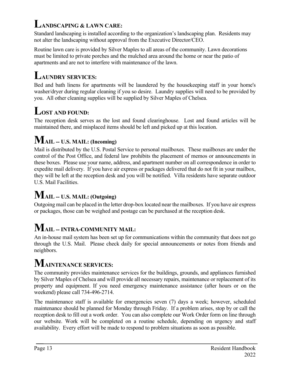## **LANDSCAPING & LAWN CARE:**

Standard landscaping is installed according to the organization's landscaping plan. Residents may not alter the landscaping without approval from the Executive Director/CEO.

Routine lawn care is provided by Silver Maples to all areas of the community. Lawn decorations must be limited to private porches and the mulched area around the home or near the patio of apartments and are not to interfere with maintenance of the lawn.

## **LAUNDRY SERVICES:**

Bed and bath linens for apartments will be laundered by the housekeeping staff in your home's washer/dryer during regular cleaning if you so desire. Laundry supplies will need to be provided by you. All other cleaning supplies will be supplied by Silver Maples of Chelsea.

# **LOST AND FOUND:**

The reception desk serves as the lost and found clearinghouse. Lost and found articles will be maintained there, and misplaced items should be left and picked up at this location.

## **MAIL -- U.S. MAIL: (Incoming)**

Mail is distributed by the U.S. Postal Service to personal mailboxes. These mailboxes are under the control of the Post Office, and federal law prohibits the placement of memos or announcements in these boxes. Please use your name, address, and apartment number on all correspondence in order to expedite mail delivery. If you have air express or packages delivered that do not fit in your mailbox, they will be left at the reception desk and you will be notified. Villa residents have separate outdoor U.S. Mail Facilities.

## **MAIL -- U.S. MAIL: (Outgoing)**

Outgoing mail can be placed in the letter drop-box located near the mailboxes. If you have air express or packages, those can be weighed and postage can be purchased at the reception desk.

# **MAIL -- INTRA-COMMUNITY MAIL:**

An in-house mail system has been set up for communications within the community that does not go through the U.S. Mail. Please check daily for special announcements or notes from friends and neighbors.

## **MAINTENANCE SERVICES:**

The community provides maintenance services for the buildings, grounds, and appliances furnished by Silver Maples of Chelsea and will provide all necessary repairs, maintenance or replacement of its property and equipment. If you need emergency maintenance assistance (after hours or on the weekend) please call 734-496-2714.

The maintenance staff is available for emergencies seven (7) days a week; however, scheduled maintenance should be planned for Monday through Friday. If a problem arises, stop by or call the reception desk to fill out a work order. You can also complete our Work Order form on line through our website. Work will be completed on a routine schedule, depending on urgency and staff availability. Every effort will be made to respond to problem situations as soon as possible.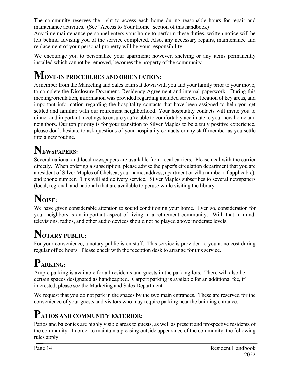The community reserves the right to access each home during reasonable hours for repair and maintenance activities. (See "Access to Your Home" section of this handbook)

Any time maintenance personnel enters your home to perform these duties, written notice will be left behind advising you of the service completed. Also, any necessary repairs, maintenance and replacement of your personal property will be your responsibility.

We encourage you to personalize your apartment; however, shelving or any items permanently installed which cannot be removed, becomes the property of the community.

## **MOVE-IN PROCEDURES AND ORIENTATION:**

A member from the Marketing and Sales team sat down with you and your family prior to your move, to complete the Disclosure Document, Residency Agreement and internal paperwork. During this meeting/orientation, information was provided regarding included services, location of key areas, and important information regarding the hospitality contacts that have been assigned to help you get settled and familiar with our retirement neighborhood. Your hospitality contacts will invite you to dinner and important meetings to ensure you're able to comfortably acclimate to your new home and neighbors. Our top priority is for your transition to Silver Maples to be a truly positive experience, please don't hesitate to ask questions of your hospitality contacts or any staff member as you settle into a new routine.

## **NEWSPAPERS:**

Several national and local newspapers are available from local carriers. Please deal with the carrier directly. When ordering a subscription, please advise the paper's circulation department that you are a resident of Silver Maples of Chelsea, your name, address, apartment or villa number (if applicable), and phone number. This will aid delivery service. Silver Maples subscribes to several newspapers (local, regional, and national) that are available to peruse while visiting the library.

# **NOISE:**

We have given considerable attention to sound conditioning your home. Even so, consideration for your neighbors is an important aspect of living in a retirement community. With that in mind, televisions, radios, and other audio devices should not be played above moderate levels.

# **NOTARY PUBLIC:**

For your convenience, a notary public is on staff. This service is provided to you at no cost during regular office hours. Please check with the reception desk to arrange for this service.

# **PARKING:**

Ample parking is available for all residents and guests in the parking lots. There will also be certain spaces designated as handicapped. Carport parking is available for an additional fee, if interested, please see the Marketing and Sales Department.

We request that you do not park in the spaces by the two main entrances. These are reserved for the convenience of your guests and visitors who may require parking near the building entrance.

# **PATIOS AND COMMUNITY EXTERIOR:**

Patios and balconies are highly visible areas to guests, as well as present and prospective residents of the community. In order to maintain a pleasing outside appearance of the community, the following rules apply.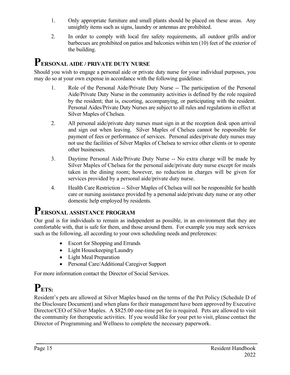- 1. Only appropriate furniture and small plants should be placed on these areas. Any unsightly items such as signs, laundry or antennas are prohibited.
- 2. In order to comply with local fire safety requirements, all outdoor grills and/or barbecues are prohibited on patios and balconies within ten (10) feet of the exterior of the building.

### **PERSONAL AIDE / PRIVATE DUTY NURSE**

Should you wish to engage a personal aide or private duty nurse for your individual purposes, you may do so at your own expense in accordance with the following guidelines:

- 1. Role of the Personal Aide/Private Duty Nurse -- The participation of the Personal Aide/Private Duty Nurse in the community activities is defined by the role required by the resident; that is, escorting, accompanying, or participating with the resident. Personal Aides/Private Duty Nurses are subject to all rules and regulations in effect at Silver Maples of Chelsea.
- 2. All personal aide/private duty nurses must sign in at the reception desk upon arrival and sign out when leaving. Silver Maples of Chelsea cannot be responsible for payment of fees or performance of services. Personal aides/private duty nurses may not use the facilities of Silver Maples of Chelsea to service other clients or to operate other businesses.
- 3. Daytime Personal Aide/Private Duty Nurse -- No extra charge will be made by Silver Maples of Chelsea for the personal aide/private duty nurse except for meals taken in the dining room; however, no reduction in charges will be given for services provided by a personal aide/private duty nurse.
- 4. Health Care Restriction -- Silver Maples of Chelsea will not be responsible for health care or nursing assistance provided by a personal aide/private duty nurse or any other domestic help employed by residents.

### **PERSONAL ASSISTANCE PROGRAM**

Our goal is for individuals to remain as independent as possible, in an environment that they are comfortable with, that is safe for them, and those around them. For example you may seek services such as the following, all according to your own scheduling needs and preferences:

- Escort for Shopping and Errands
- Light Housekeeping/Laundry
- Light Meal Preparation
- Personal Care/Additional Caregiver Support

For more information contact the Director of Social Services.

# **PETS:**

Resident's pets are allowed at Silver Maples based on the terms of the Pet Policy (Schedule D of the Disclosure Document) and when plans for their management have been approved by Executive Director/CEO of Silver Maples. A \$825.00 one-time pet fee is required. Pets are allowed to visit the community for therapeutic activities. If you would like for your pet to visit, please contact the Director of Programming and Wellness to complete the necessary paperwork.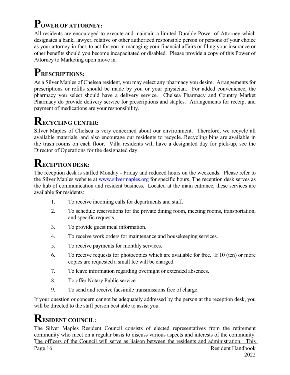# **POWER OF ATTORNEY:**

All residents are encouraged to execute and maintain a limited Durable Power of Attorney which designates a bank, lawyer, relative or other authorized responsible person or persons of your choice as your attorney-in-fact, to act for you in managing your financial affairs or filing your insurance or other benefits should you become incapacitated or disabled. Please provide a copy of this Power of Attorney to Marketing upon move in.

# **PRESCRIPTIONS:**

As a Silver Maples of Chelsea resident, you may select any pharmacy you desire. Arrangements for prescriptions or refills should be made by you or your physician. For added convenience, the pharmacy you select should have a delivery service. Chelsea Pharmacy and Country Market Pharmacy do provide delivery service for prescriptions and staples. Arrangements for receipt and payment of medications are your responsibility.

# **RECYCLING CENTER:**

Silver Maples of Chelsea is very concerned about our environment. Therefore, we recycle all available materials, and also encourage our residents to recycle. Recycling bins are available in the trash rooms on each floor. Villa residents will have a designated day for pick-up, see the Director of Operations for the designated day.

## **RECEPTION DESK:**

The reception desk is staffed Monday - Friday and reduced hours on the weekends. Please refer to the Silver Maples website at [www.silvermaples.org](http://www.silvermaples.org/) for specific hours. The reception desk serves as the hub of communication and resident business. Located at the main entrance, these services are available for residents:

- 1. To receive incoming calls for departments and staff.
- 2. To schedule reservations for the private dining room, meeting rooms, transportation, and specific requests.
- 3. To provide guest meal information.
- 4. To receive work orders for maintenance and housekeeping services.
- 5. To receive payments for monthly services.
- 6. To receive requests for photocopies which are available for free. If 10 (ten) or more copies are requested a small fee will be charged.
- 7. To leave information regarding overnight or extended absences.
- 8. To offer Notary Public service.
- 9. To send and receive facsimile transmissions free of charge.

If your question or concern cannot be adequately addressed by the person at the reception desk, you will be directed to the staff person best able to assist you.

### **RESIDENT COUNCIL:**

The Silver Maples Resident Council consists of elected representatives from the retirement community who meet on a regular basis to discuss various aspects and interests of the community. The officers of the Council will serve as liaison between the residents and administration. This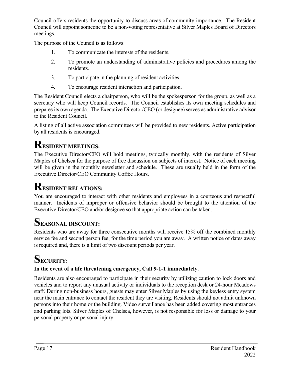Council offers residents the opportunity to discuss areas of community importance. The Resident Council will appoint someone to be a non-voting representative at Silver Maples Board of Directors meetings.

The purpose of the Council is as follows:

- 1. To communicate the interests of the residents.
- 2. To promote an understanding of administrative policies and procedures among the residents.
- 3. To participate in the planning of resident activities.
- 4. To encourage resident interaction and participation.

The Resident Council elects a chairperson, who will be the spokesperson for the group, as well as a secretary who will keep Council records. The Council establishes its own meeting schedules and prepares its own agenda. The Executive Director/CEO (or designee) serves as administrative advisor to the Resident Council.

A listing of all active association committees will be provided to new residents. Active participation by all residents is encouraged.

# **RESIDENT MEETINGS:**

The Executive Director/CEO will hold meetings, typically monthly, with the residents of Silver Maples of Chelsea for the purpose of free discussion on subjects of interest. Notice of each meeting will be given in the monthly newsletter and schedule. These are usually held in the form of the Executive Director/CEO Community Coffee Hours.

## **RESIDENT RELATIONS:**

You are encouraged to interact with other residents and employees in a courteous and respectful manner. Incidents of improper or offensive behavior should be brought to the attention of the Executive Director/CEO and/or designee so that appropriate action can be taken.

## **SEASONAL DISCOUNT:**

Residents who are away for three consecutive months will receive 15% off the combined monthly service fee and second person fee, for the time period you are away. A written notice of dates away is required and, there is a limit of two discount periods per year.

# **SECURITY:**

### **In the event of a life threatening emergency, Call 9-1-1 immediately.**

Residents are also encouraged to participate in their security by utilizing caution to lock doors and vehicles and to report any unusual activity or individuals to the reception desk or 24-hour Meadows staff. During non-business hours, guests may enter Silver Maples by using the keyless entry system near the main entrance to contact the resident they are visiting. Residents should not admit unknown persons into their home or the building. Video surveillance has been added covering most entrances and parking lots. Silver Maples of Chelsea, however, is not responsible for loss or damage to your personal property or personal injury.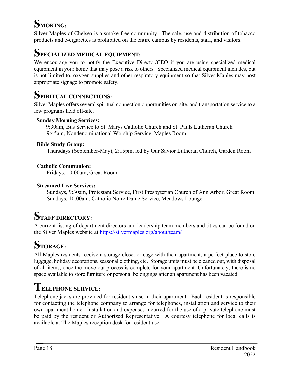# **SMOKING:**

Silver Maples of Chelsea is a smoke-free community. The sale, use and distribution of tobacco products and e-cigarettes is prohibited on the entire campus by residents, staff, and visitors.

### **SPECIALIZED MEDICAL EQUIPMENT:**

We encourage you to notify the Executive Director/CEO if you are using specialized medical equipment in your home that may pose a risk to others. Specialized medical equipment includes, but is not limited to, oxygen supplies and other respiratory equipment so that Silver Maples may post appropriate signage to promote safety.

### **SPIRITUAL CONNECTIONS:**

Silver Maples offers several spiritual connection opportunities on-site, and transportation service to a few programs held off-site.

#### **Sunday Morning Services:**

 9:30am, Bus Service to St. Marys Catholic Church and St. Pauls Lutheran Church 9:45am, Nondenominational Worship Service, Maples Room

#### **Bible Study Group:**

Thursdays (September-May), 2:15pm, led by Our Savior Lutheran Church, Garden Room

#### **Catholic Communion:**

Fridays, 10:00am, Great Room

#### **Streamed Live Services:**

 Sundays, 9:30am, Protestant Service, First Presbyterian Church of Ann Arbor, Great Room Sundays, 10:00am, Catholic Notre Dame Service, Meadows Lounge

## **STAFF DIRECTORY:**

A current listing of department directors and leadership team members and titles can be found on the Silver Maples website at<https://silvermaples.org/about/team/>

# **STORAGE:**

All Maples residents receive a storage closet or cage with their apartment; a perfect place to store luggage, holiday decorations, seasonal clothing, etc. Storage units must be cleaned out, with disposal of all items, once the move out process is complete for your apartment. Unfortunately, there is no space available to store furniture or personal belongings after an apartment has been vacated.

### **TELEPHONE SERVICE:**

Telephone jacks are provided for resident's use in their apartment. Each resident is responsible for contacting the telephone company to arrange for telephones, installation and service to their own apartment home. Installation and expenses incurred for the use of a private telephone must be paid by the resident or Authorized Representative. A courtesy telephone for local calls is available at The Maples reception desk for resident use.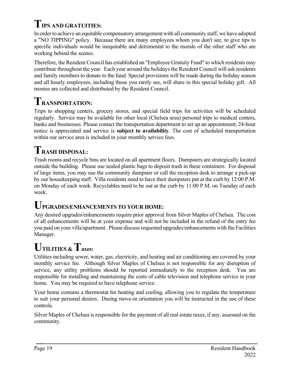# **TIPS AND GRATUITIES:**

In order to achieve an equitable compensatory arrangement with all community staff, we have adopted a "NO TIPPING" policy. Because there are many employees whom you don't see, to give tips to specific individuals would be inequitable and detrimental to the morale of the other staff who are working behind the scenes.

Therefore, the Resident Council has established an "Employee Gratuity Fund" to which residents may contribute throughout the year. Each year around the holidays the Resident Council will ask residents and family members to donate to the fund. Special provisions will be made during the holiday season and all hourly employees, including those you rarely see, will share in this special holiday gift. All monies are collected and distributed by the Resident Council.

## **TRANSPORTATION:**

Trips to shopping centers, grocery stores, and special field trips for activities will be scheduled regularly. Service may be available for other local (Chelsea area) personal trips to medical centers, banks and businesses. Please contact the transportation department to set up an appointment; 24-hour notice is appreciated and service is **subject to availability**. The cost of scheduled transportation within our service area is included in your monthly service fees.

# **TRASH DISPOSAL:**

Trash rooms and recycle bins are located on all apartment floors. Dumpsters are strategically located outside the building. Please use sealed plastic bags to deposit trash in these containers. For disposal of large items, you may use the community dumpster or call the reception desk to arrange a pick-up by our housekeeping staff. Villa residents need to have their dumpsters put at the curb by 12:00 P.M. on Monday of each week. Recyclables need to be out at the curb by 11:00 P.M. on Tuesday of each week.

### **UPGRADES/ENHANCEMENTS TO YOUR HOME:**

Any desired upgrades/enhancements require prior approval from Silver Maples of Chelsea. The cost of all enhancements will be at your expense and will not be included in the refund of the entry fee you paid on your villa/apartment. Please discuss requested upgrades/enhancements with the Facilities Manager.

# **UTILITIES & Taxes:**

Utilities including sewer, water, gas, electricity, and heating and air conditioning are covered by your monthly service fee. Although Silver Maples of Chelsea is not responsible for any disruption of service, any utility problems should be reported immediately to the reception desk. You are responsible for installing and maintaining the costs of cable television and telephone service in your home. You may be required to have telephone service.

Your home contains a thermostat for heating and cooling, allowing you to regulate the temperature to suit your personal desires. During move-in orientation you will be instructed in the use of these controls.

Silver Maples of Chelsea is responsible for the payment of all real estate taxes, if any, assessed on the community.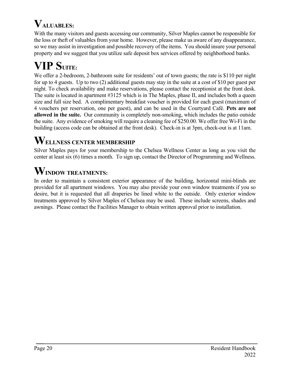# **VALUABLES:**

With the many visitors and guests accessing our community, Silver Maples cannot be responsible for the loss or theft of valuables from your home. However, please make us aware of any disappearance, so we may assist in investigation and possible recovery of the items. You should insure your personal property and we suggest that you utilize safe deposit box services offered by neighborhood banks.

# $VIP$  SUITE:

We offer a 2-bedroom, 2-bathroom suite for residents' out of town guests; the rate is \$110 per night for up to 4 guests. Up to two (2) additional guests may stay in the suite at a cost of \$10 per guest per night. To check availability and make reservations, please contact the receptionist at the front desk. The suite is located in apartment #3125 which is in The Maples, phase II, and includes both a queen size and full size bed. A complimentary breakfast voucher is provided for each guest (maximum of 4 vouchers per reservation, one per guest), and can be used in the Courtyard Café. **Pets are not allowed in the suite.** Our community is completely non-smoking, which includes the patio outside the suite. Any evidence of smoking will require a cleaning fee of \$250.00. We offer free Wi-Fi in the building (access code can be obtained at the front desk). Check-in is at 3pm, check-out is at 11am.

## **WELLNESS CENTER MEMBERSHIP**

Silver Maples pays for your membership to the Chelsea Wellness Center as long as you visit the center at least six (6) times a month. To sign up, contact the Director of Programming and Wellness.

# **WINDOW TREATMENTS:**

In order to maintain a consistent exterior appearance of the building, horizontal mini-blinds are provided for all apartment windows. You may also provide your own window treatments if you so desire, but it is requested that all draperies be lined white to the outside. Only exterior window treatments approved by Silver Maples of Chelsea may be used. These include screens, shades and awnings. Please contact the Facilities Manager to obtain written approval prior to installation.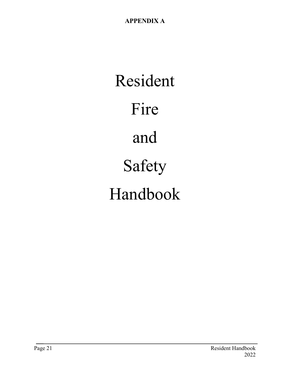Resident Fire and Safety Handbook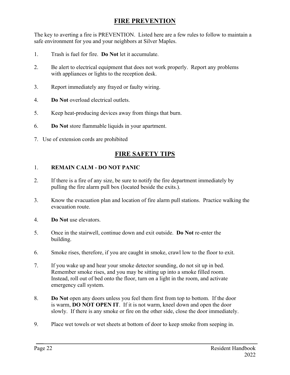#### **FIRE PREVENTION**

The key to averting a fire is PREVENTION. Listed here are a few rules to follow to maintain a safe environment for you and your neighbors at Silver Maples.

- 1. Trash is fuel for fire. **Do Not** let it accumulate.
- 2. Be alert to electrical equipment that does not work properly. Report any problems with appliances or lights to the reception desk.
- 3. Report immediately any frayed or faulty wiring.
- 4. **Do Not** overload electrical outlets.
- 5. Keep heat-producing devices away from things that burn.
- 6. **Do Not** store flammable liquids in your apartment.
- 7. Use of extension cords are prohibited

#### **FIRE SAFETY TIPS**

#### 1. **REMAIN CALM - DO NOT PANIC**

- 2. If there is a fire of any size, be sure to notify the fire department immediately by pulling the fire alarm pull box (located beside the exits.).
- 3. Know the evacuation plan and location of fire alarm pull stations. Practice walking the evacuation route.
- 4. **Do Not** use elevators.
- 5. Once in the stairwell, continue down and exit outside. **Do Not** re-enter the building.
- 6. Smoke rises, therefore, if you are caught in smoke, crawl low to the floor to exit.
- 7. If you wake up and hear your smoke detector sounding, do not sit up in bed. Remember smoke rises, and you may be sitting up into a smoke filled room. Instead, roll out of bed onto the floor, turn on a light in the room, and activate emergency call system.
- 8. **Do Not** open any doors unless you feel them first from top to bottom. If the door is warm, **DO NOT OPEN IT**. If it is not warm, kneel down and open the door slowly. If there is any smoke or fire on the other side, close the door immediately.
- 9. Place wet towels or wet sheets at bottom of door to keep smoke from seeping in.

Page 22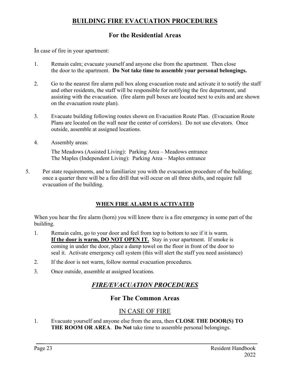#### **BUILDING FIRE EVACUATION PROCEDURES**

### **For the Residential Areas**

In case of fire in your apartment:

- 1. Remain calm; evacuate yourself and anyone else from the apartment. Then close the door to the apartment. **Do Not take time to assemble your personal belongings.**
- 2. Go to the nearest fire alarm pull box along evacuation route and activate it to notify the staff and other residents, the staff will be responsible for notifying the fire department, and assisting with the evacuation. (fire alarm pull boxes are located next to exits and are shown on the evacuation route plan).
- 3. Evacuate building following routes shown on Evacuation Route Plan. (Evacuation Route Plans are located on the wall near the center of corridors). Do not use elevators. Once outside, assemble at assigned locations.
- 4. Assembly areas:

The Meadows (Assisted Living): Parking Area – Meadows entrance The Maples (Independent Living): Parking Area – Maples entrance

5. Per state requirements, and to familiarize you with the evacuation procedure of the building; once a quarter there will be a fire drill that will occur on all three shifts, and require full evacuation of the building.

#### **WHEN FIRE ALARM IS ACTIVATED**

When you hear the fire alarm (horn) you will know there is a fire emergency in some part of the building.

- 1. Remain calm, go to your door and feel from top to bottom to see if it is warm. **If the door is warm, DO NOT OPEN IT.** Stay in your apartment. If smoke is coming in under the door, place a damp towel on the floor in front of the door to seal it. Activate emergency call system (this will alert the staff you need assistance)
- 2. If the door is not warm, follow normal evacuation procedures.
- 3. Once outside, assemble at assigned locations.

### *FIRE/EVACUATION PROCEDURES*

### **For The Common Areas**

### IN CASE OF FIRE

1. Evacuate yourself and anyone else from the area, then **CLOSE THE DOOR(S) TO THE ROOM OR AREA**. **Do Not** take time to assemble personal belongings.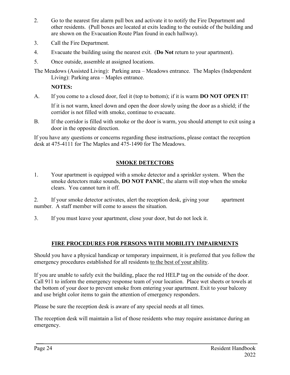- 2. Go to the nearest fire alarm pull box and activate it to notify the Fire Department and other residents. (Pull boxes are located at exits leading to the outside of the building and are shown on the Evacuation Route Plan found in each hallway).
- 3. Call the Fire Department.
- 4. Evacuate the building using the nearest exit. (**Do Not** return to your apartment).
- 5. Once outside, assemble at assigned locations.

The Meadows (Assisted Living): Parking area – Meadows entrance. The Maples (Independent Living): Parking area – Maples entrance.

**NOTES:**

A. If you come to a closed door, feel it (top to bottom); if it is warm **DO NOT OPEN IT**!

If it is not warm, kneel down and open the door slowly using the door as a shield; if the corridor is not filled with smoke, continue to evacuate.

B. If the corridor is filled with smoke or the door is warm, you should attempt to exit using a door in the opposite direction.

If you have any questions or concerns regarding these instructions, please contact the reception desk at 475-4111 for The Maples and 475-1490 for The Meadows.

#### **SMOKE DETECTORS**

1. Your apartment is equipped with a smoke detector and a sprinkler system. When the smoke detectors make sounds, **DO NOT PANIC**, the alarm will stop when the smoke clears. You cannot turn it off.

2. If your smoke detector activates, alert the reception desk, giving your apartment number. A staff member will come to assess the situation.

3. If you must leave your apartment, close your door, but do not lock it.

#### **FIRE PROCEDURES FOR PERSONS WITH MOBILITY IMPAIRMENTS**

Should you have a physical handicap or temporary impairment, it is preferred that you follow the emergency procedures established for all residents to the best of your ability.

If you are unable to safely exit the building, place the red HELP tag on the outside of the door. Call 911 to inform the emergency response team of your location. Place wet sheets or towels at the bottom of your door to prevent smoke from entering your apartment. Exit to your balcony and use bright color items to gain the attention of emergency responders.

Please be sure the reception desk is aware of any special needs at all times.

The reception desk will maintain a list of those residents who may require assistance during an emergency.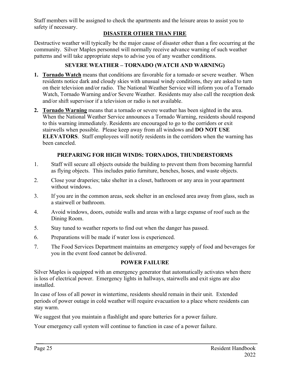Staff members will be assigned to check the apartments and the leisure areas to assist you to safety if necessary.

#### **DISASTER OTHER THAN FIRE**

Destructive weather will typically be the major cause of disaster other than a fire occurring at the community. Silver Maples personnel will normally receive advance warning of such weather patterns and will take appropriate steps to advise you of any weather conditions.

#### **SEVERE WEATHER – TORNADO (WATCH AND WARNING)**

- **1. Tornado Watch** means that conditions are favorable for a tornado or severe weather. When residents notice dark and cloudy skies with unusual windy conditions, they are asked to turn on their television and/or radio. The National Weather Service will inform you of a Tornado Watch, Tornado Warning and/or Severe Weather. Residents may also call the reception desk and/or shift supervisor if a television or radio is not available.
- **2. Tornado Warning** means that a tornado or severe weather has been sighted in the area. When the National Weather Service announces a Tornado Warning, residents should respond to this warning immediately. Residents are encouraged to go to the corridors or exit stairwells when possible. Please keep away from all windows and **DO NOT USE ELEVATORS**. Staff employees will notify residents in the corridors when the warning has been canceled.

#### **PREPARING FOR HIGH WINDS: TORNADOS, THUNDERSTORMS**

- 1. Staff will secure all objects outside the building to prevent them from becoming harmful as flying objects. This includes patio furniture, benches, hoses, and waste objects.
- 2. Close your draperies; take shelter in a closet, bathroom or any area in your apartment without windows.
- 3. If you are in the common areas, seek shelter in an enclosed area away from glass, such as a stairwell or bathroom.
- 4. Avoid windows, doors, outside walls and areas with a large expanse of roof such as the Dining Room.
- 5. Stay tuned to weather reports to find out when the danger has passed.
- 6. Preparations will be made if water loss is experienced.
- 7. The Food Services Department maintains an emergency supply of food and beverages for you in the event food cannot be delivered.

#### **POWER FAILURE**

Silver Maples is equipped with an emergency generator that automatically activates when there is loss of electrical power. Emergency lights in hallways, stairwells and exit signs are also installed.

In case of loss of all power in wintertime, residents should remain in their unit. Extended periods of power outage in cold weather will require evacuation to a place where residents can stay warm.

We suggest that you maintain a flashlight and spare batteries for a power failure.

Your emergency call system will continue to function in case of a power failure.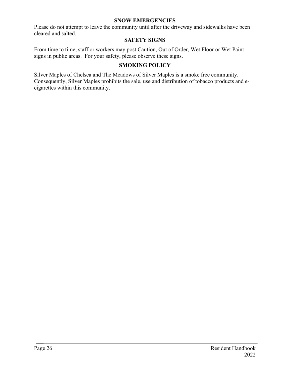#### **SNOW EMERGENCIES**

Please do not attempt to leave the community until after the driveway and sidewalks have been cleared and salted.

#### **SAFETY SIGNS**

From time to time, staff or workers may post Caution, Out of Order, Wet Floor or Wet Paint signs in public areas. For your safety, please observe these signs.

#### **SMOKING POLICY**

Silver Maples of Chelsea and The Meadows of Silver Maples is a smoke free community. Consequently, Silver Maples prohibits the sale, use and distribution of tobacco products and ecigarettes within this community.